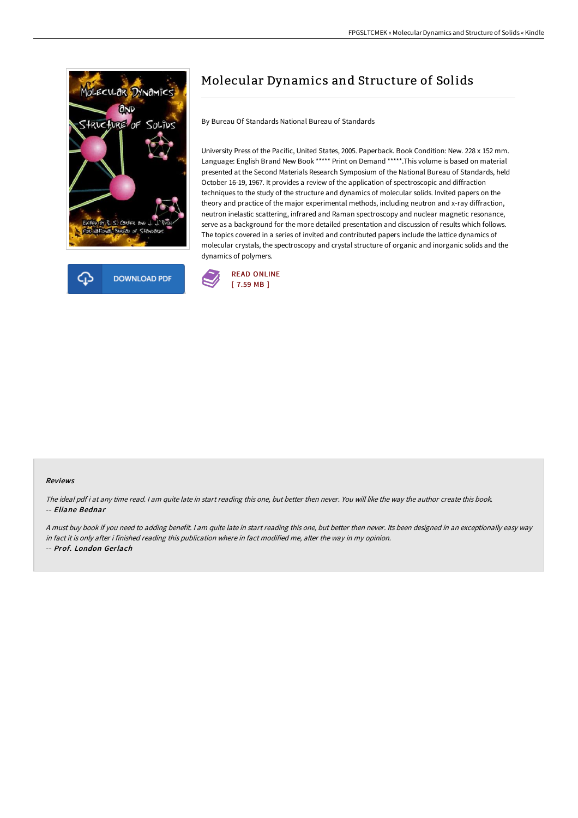



## Molecular Dynamics and Structure of Solids

By Bureau Of Standards National Bureau of Standards

University Press of the Pacific, United States, 2005. Paperback. Book Condition: New. 228 x 152 mm. Language: English Brand New Book \*\*\*\*\* Print on Demand \*\*\*\*\*.This volume is based on material presented at the Second Materials Research Symposium of the National Bureau of Standards, held October 16-19, 1967. It provides a review of the application of spectroscopic and diffraction techniques to the study of the structure and dynamics of molecular solids. Invited papers on the theory and practice of the major experimental methods, including neutron and x-ray diffraction, neutron inelastic scattering, infrared and Raman spectroscopy and nuclear magnetic resonance, serve as a background for the more detailed presentation and discussion of results which follows. The topics covered in a series of invited and contributed papers include the lattice dynamics of molecular crystals, the spectroscopy and crystal structure of organic and inorganic solids and the dynamics of polymers.



## Reviews

The ideal pdf i at any time read. <sup>I</sup> am quite late in start reading this one, but better then never. You will like the way the author create this book. -- Eliane Bednar

<sup>A</sup> must buy book if you need to adding benefit. <sup>I</sup> am quite late in start reading this one, but better then never. Its been designed in an exceptionally easy way in fact it is only after i finished reading this publication where in fact modified me, alter the way in my opinion. -- Prof. London Gerlach